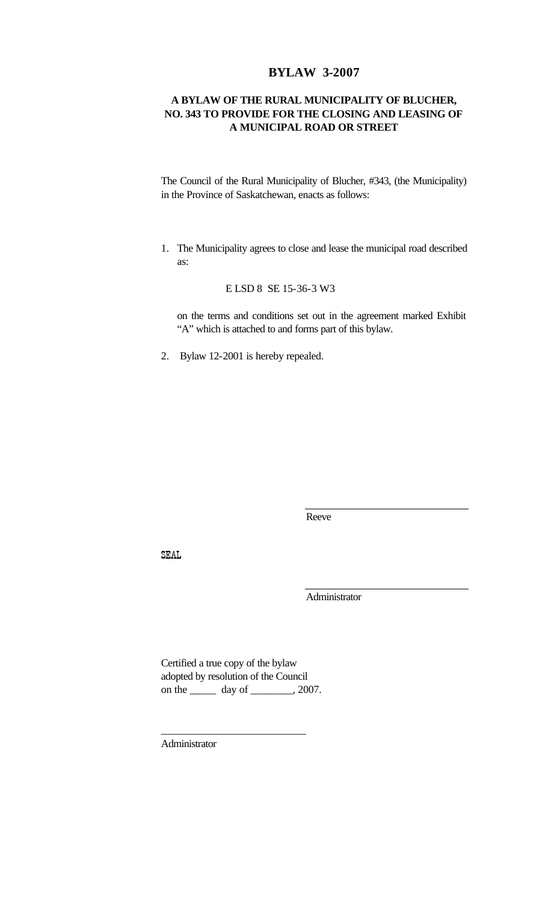## **BYLAW 3-2007**

## **A BYLAW OF THE RURAL MUNICIPALITY OF BLUCHER, NO. 343 TO PROVIDE FOR THE CLOSING AND LEASING OF A MUNICIPAL ROAD OR STREET**

The Council of the Rural Municipality of Blucher, #343, (the Municipality) in the Province of Saskatchewan, enacts as follows:

1. The Municipality agrees to close and lease the municipal road described as:

## E LSD 8 SE 15-36-3 W3

on the terms and conditions set out in the agreement marked Exhibit "A" which is attached to and forms part of this bylaw.

2. Bylaw 12-2001 is hereby repealed.

Reeve

SEAL

Administrator

Certified a true copy of the bylaw adopted by resolution of the Council on the <u>equal</u> day of <u>equal</u>, 2007.

\_\_\_\_\_\_\_\_\_\_\_\_\_\_\_\_\_\_\_\_\_\_\_\_\_\_\_

Administrator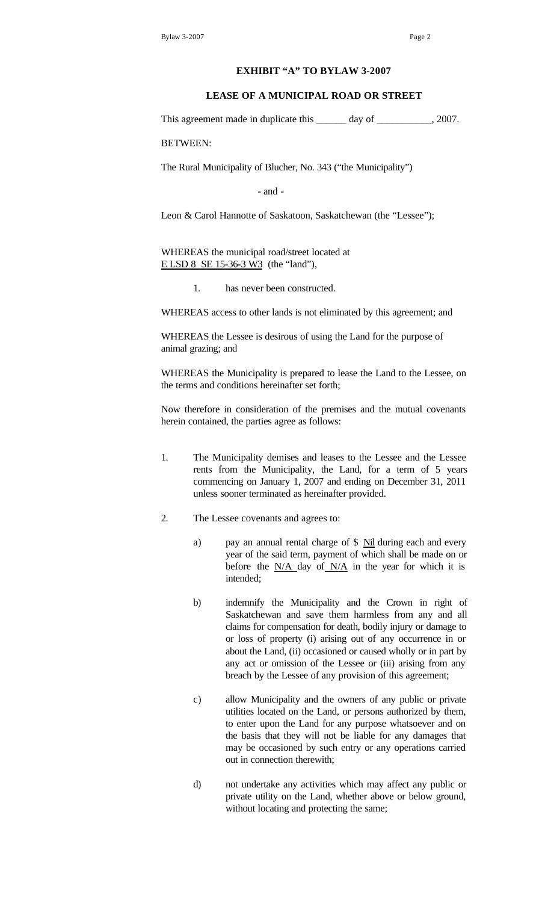#### **EXHIBIT "A" TO BYLAW 3-2007**

#### **LEASE OF A MUNICIPAL ROAD OR STREET**

This agreement made in duplicate this \_\_\_\_\_\_ day of \_\_\_\_\_\_\_\_\_, 2007.

BETWEEN:

The Rural Municipality of Blucher, No. 343 ("the Municipality")

- and -

Leon & Carol Hannotte of Saskatoon, Saskatchewan (the "Lessee");

WHEREAS the municipal road/street located at E LSD 8 SE 15-36-3 W3 (the "land"),

1. has never been constructed.

WHEREAS access to other lands is not eliminated by this agreement; and

WHEREAS the Lessee is desirous of using the Land for the purpose of animal grazing; and

WHEREAS the Municipality is prepared to lease the Land to the Lessee, on the terms and conditions hereinafter set forth;

Now therefore in consideration of the premises and the mutual covenants herein contained, the parties agree as follows:

- 1. The Municipality demises and leases to the Lessee and the Lessee rents from the Municipality, the Land, for a term of 5 years commencing on January 1, 2007 and ending on December 31, 2011 unless sooner terminated as hereinafter provided.
- 2. The Lessee covenants and agrees to:
	- a) pay an annual rental charge of \$ Nil during each and every year of the said term, payment of which shall be made on or before the  $N/A$  day of  $N/A$  in the year for which it is intended;
	- b) indemnify the Municipality and the Crown in right of Saskatchewan and save them harmless from any and all claims for compensation for death, bodily injury or damage to or loss of property (i) arising out of any occurrence in or about the Land, (ii) occasioned or caused wholly or in part by any act or omission of the Lessee or (iii) arising from any breach by the Lessee of any provision of this agreement;
	- c) allow Municipality and the owners of any public or private utilities located on the Land, or persons authorized by them, to enter upon the Land for any purpose whatsoever and on the basis that they will not be liable for any damages that may be occasioned by such entry or any operations carried out in connection therewith;
	- d) not undertake any activities which may affect any public or private utility on the Land, whether above or below ground, without locating and protecting the same;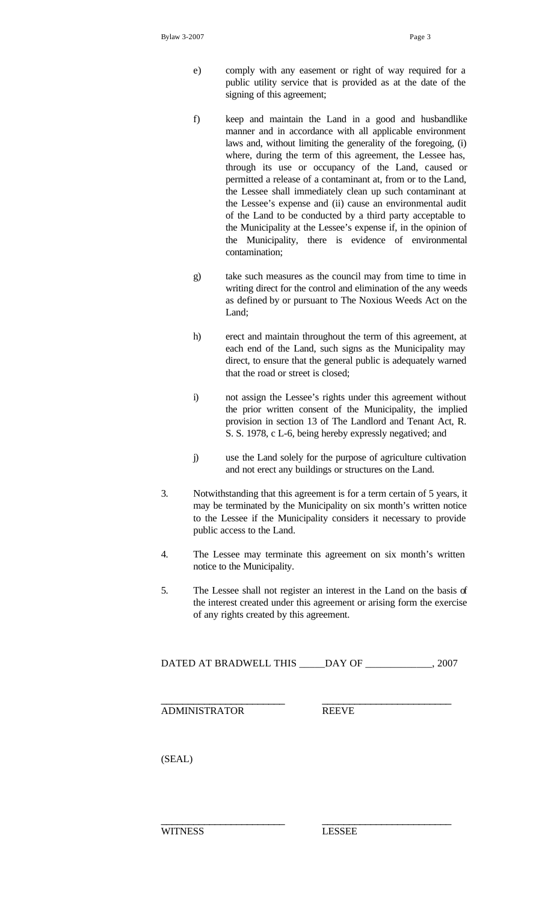- e) comply with any easement or right of way required for a public utility service that is provided as at the date of the signing of this agreement;
- f) keep and maintain the Land in a good and husbandlike manner and in accordance with all applicable environment laws and, without limiting the generality of the foregoing, (i) where, during the term of this agreement, the Lessee has, through its use or occupancy of the Land, caused or permitted a release of a contaminant at, from or to the Land, the Lessee shall immediately clean up such contaminant at the Lessee's expense and (ii) cause an environmental audit of the Land to be conducted by a third party acceptable to the Municipality at the Lessee's expense if, in the opinion of the Municipality, there is evidence of environmental contamination;
- g) take such measures as the council may from time to time in writing direct for the control and elimination of the any weeds as defined by or pursuant to The Noxious Weeds Act on the Land;
- h) erect and maintain throughout the term of this agreement, at each end of the Land, such signs as the Municipality may direct, to ensure that the general public is adequately warned that the road or street is closed;
- i) not assign the Lessee's rights under this agreement without the prior written consent of the Municipality, the implied provision in section 13 of The Landlord and Tenant Act, R. S. S. 1978, c L-6, being hereby expressly negatived; and
- j) use the Land solely for the purpose of agriculture cultivation and not erect any buildings or structures on the Land.
- 3. Notwithstanding that this agreement is for a term certain of 5 years, it may be terminated by the Municipality on six month's written notice to the Lessee if the Municipality considers it necessary to provide public access to the Land.
- 4. The Lessee may terminate this agreement on six month's written notice to the Municipality.
- 5. The Lessee shall not register an interest in the Land on the basis of the interest created under this agreement or arising form the exercise of any rights created by this agreement.

DATED AT BRADWELL THIS \_\_\_\_\_DAY OF \_\_\_\_\_\_\_\_\_\_\_\_\_, 2007

\_\_\_\_\_\_\_\_\_\_\_\_\_\_\_\_\_\_\_\_\_\_\_ \_\_\_\_\_\_\_\_\_\_\_\_\_\_\_\_\_\_\_\_\_\_\_\_

\_\_\_\_\_\_\_\_\_\_\_\_\_\_\_\_\_\_\_\_\_\_\_ \_\_\_\_\_\_\_\_\_\_\_\_\_\_\_\_\_\_\_\_\_\_\_\_

ADMINISTRATOR REEVE

(SEAL)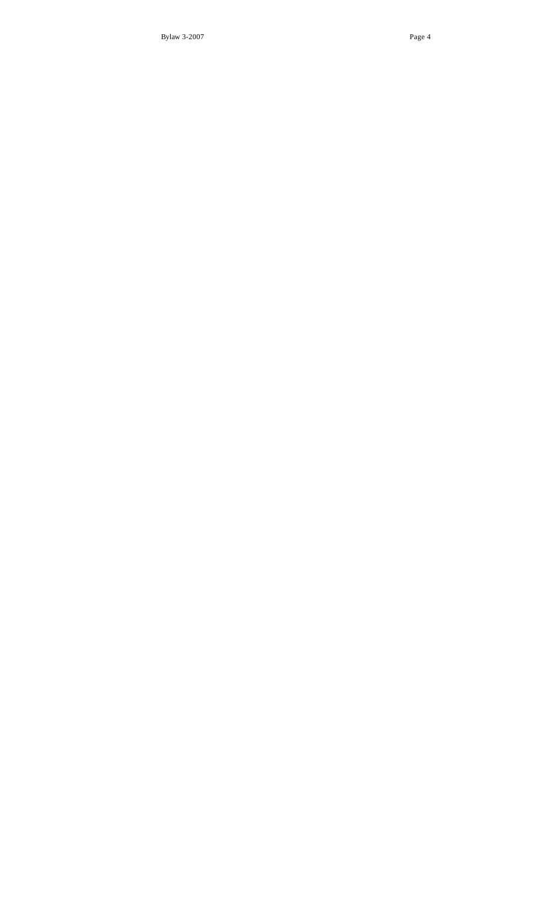Bylaw 3-2007 Page 4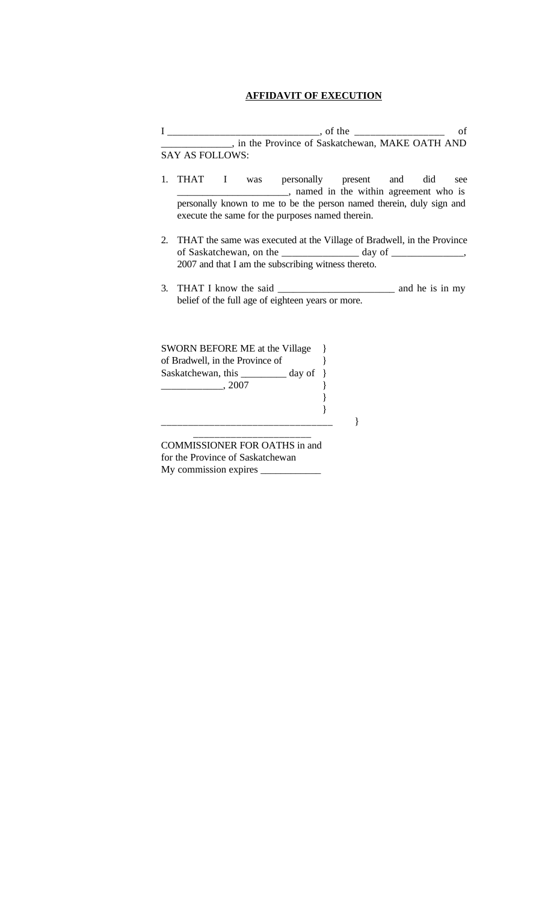# **AFFIDAVIT OF EXECUTION**

| of                                                                                                                                                                                                              |
|-----------------------------------------------------------------------------------------------------------------------------------------------------------------------------------------------------------------|
| _______________, in the Province of Saskatchewan, MAKE OATH AND                                                                                                                                                 |
| <b>SAY AS FOLLOWS:</b>                                                                                                                                                                                          |
| 1. THAT I was personally present and did<br>see<br><u>_________________</u> , named in the within agreement who is                                                                                              |
| personally known to me to be the person named therein, duly sign and<br>execute the same for the purposes named therein.                                                                                        |
| 2. THAT the same was executed at the Village of Bradwell, in the Province<br>of Saskatchewan, on the _____________________ day of _____________________,<br>2007 and that I am the subscribing witness thereto. |
| belief of the full age of eighteen years or more.                                                                                                                                                               |
| SWORN BEFORE ME at the Village<br>of Bradwell, in the Province of                                                                                                                                               |
| Saskatchewan, this ___________ day of }<br>$\frac{1}{2007}$                                                                                                                                                     |
| ł                                                                                                                                                                                                               |
| <b>COMMISSIONER FOR OATHS in and</b>                                                                                                                                                                            |

for the Province of Saskatchewan My commission expires